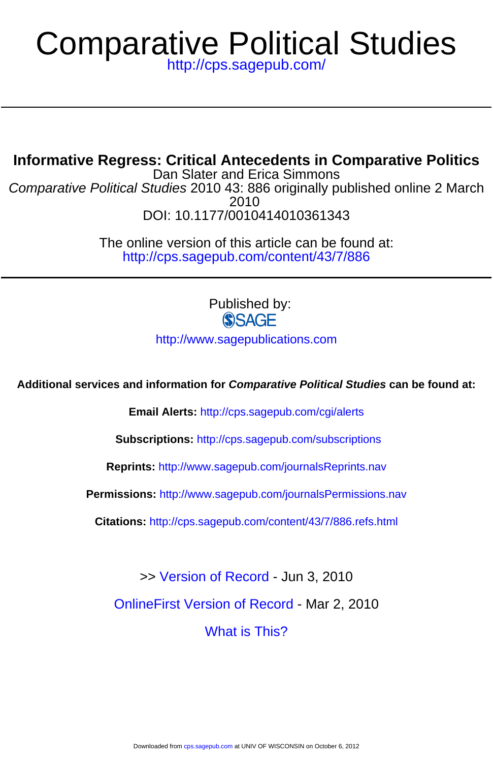# <http://cps.sagepub.com/> Comparative Political Studies

**Informative Regress: Critical Antecedents in Comparative Politics**

DOI: 10.1177/0010414010361343 2010 Comparative Political Studies 2010 43: 886 originally published online 2 March Dan Slater and Erica Simmons

> <http://cps.sagepub.com/content/43/7/886> The online version of this article can be found at:

> > Published by:<br>SAGE <http://www.sagepublications.com>

**Additional services and information for Comparative Political Studies can be found at:**

**Email Alerts:** <http://cps.sagepub.com/cgi/alerts>

**Subscriptions:** <http://cps.sagepub.com/subscriptions>

**Reprints:** <http://www.sagepub.com/journalsReprints.nav>

**Permissions:** <http://www.sagepub.com/journalsPermissions.nav>

**Citations:** <http://cps.sagepub.com/content/43/7/886.refs.html>

>> [Version of Record -](http://cps.sagepub.com/content/43/7/886.full.pdf) Jun 3, 2010

[OnlineFirst Version of Record](http://cps.sagepub.com/content/early/2010/03/02/0010414010361343.full.pdf) - Mar 2, 2010

[What is This?](http://online.sagepub.com/site/sphelp/vorhelp.xhtml)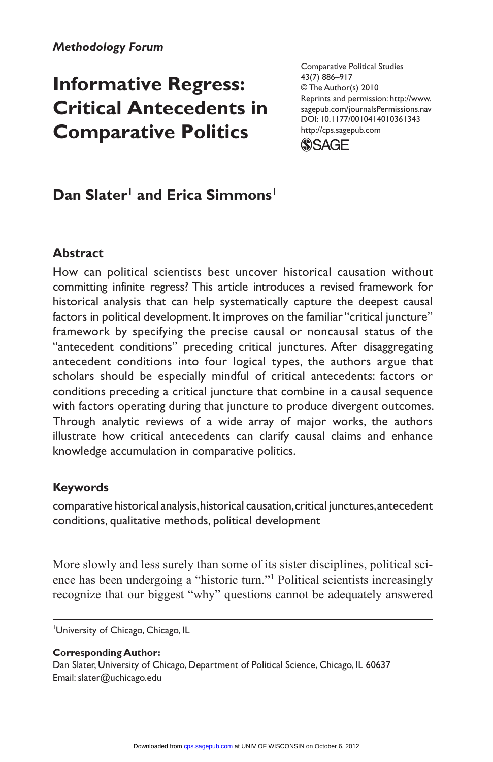# **Informative Regress: Critical Antecedents in Comparative Politics**

Comparative Political Studies 43(7) 886–917 © The Author(s) 2010 Reprints and permission: http://www. sagepub.com/journalsPermissions.nav DOI: 10.1177/0010414010361343 http://cps.sagepub.com



## Dan Slater<sup>1</sup> and Erica Simmons<sup>1</sup>

#### **Abstract**

How can political scientists best uncover historical causation without committing infinite regress? This article introduces a revised framework for historical analysis that can help systematically capture the deepest causal factors in political development. It improves on the familiar "critical juncture" framework by specifying the precise causal or noncausal status of the "antecedent conditions" preceding critical junctures. After disaggregating antecedent conditions into four logical types, the authors argue that scholars should be especially mindful of critical antecedents: factors or conditions preceding a critical juncture that combine in a causal sequence with factors operating during that juncture to produce divergent outcomes. Through analytic reviews of a wide array of major works, the authors illustrate how critical antecedents can clarify causal claims and enhance knowledge accumulation in comparative politics.

#### **Keywords**

comparative historical analysis, historical causation, critical junctures, antecedent conditions, qualitative methods, political development

More slowly and less surely than some of its sister disciplines, political science has been undergoing a "historic turn."1 Political scientists increasingly recognize that our biggest "why" questions cannot be adequately answered

University of Chicago, Chicago, IL

**Corresponding Author:**

Dan Slater, University of Chicago, Department of Political Science, Chicago, IL 60637 Email: slater@uchicago.edu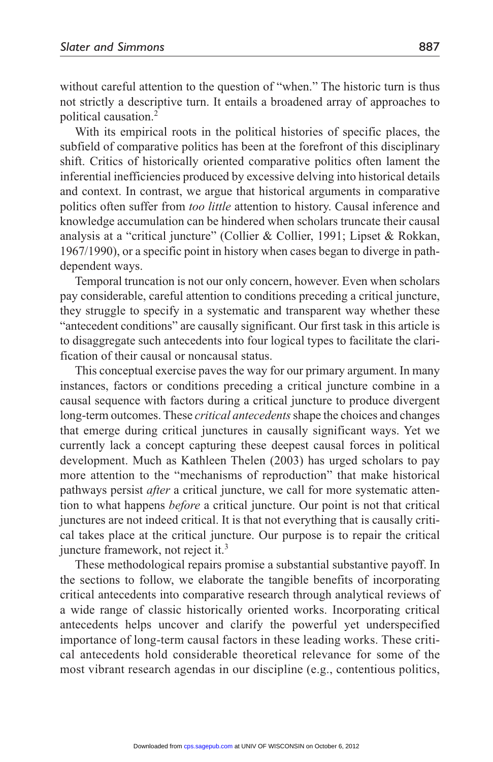without careful attention to the question of "when." The historic turn is thus not strictly a descriptive turn. It entails a broadened array of approaches to political causation.2

With its empirical roots in the political histories of specific places, the subfield of comparative politics has been at the forefront of this disciplinary shift. Critics of historically oriented comparative politics often lament the inferential inefficiencies produced by excessive delving into historical details and context. In contrast, we argue that historical arguments in comparative politics often suffer from *too little* attention to history. Causal inference and knowledge accumulation can be hindered when scholars truncate their causal analysis at a "critical juncture" (Collier & Collier, 1991; Lipset & Rokkan, 1967/1990), or a specific point in history when cases began to diverge in pathdependent ways.

Temporal truncation is not our only concern, however. Even when scholars pay considerable, careful attention to conditions preceding a critical juncture, they struggle to specify in a systematic and transparent way whether these "antecedent conditions" are causally significant. Our first task in this article is to disaggregate such antecedents into four logical types to facilitate the clarification of their causal or noncausal status.

This conceptual exercise paves the way for our primary argument. In many instances, factors or conditions preceding a critical juncture combine in a causal sequence with factors during a critical juncture to produce divergent long-term outcomes. These *critical antecedents* shape the choices and changes that emerge during critical junctures in causally significant ways. Yet we currently lack a concept capturing these deepest causal forces in political development. Much as Kathleen Thelen (2003) has urged scholars to pay more attention to the "mechanisms of reproduction" that make historical pathways persist *after* a critical juncture, we call for more systematic attention to what happens *before* a critical juncture. Our point is not that critical junctures are not indeed critical. It is that not everything that is causally critical takes place at the critical juncture. Our purpose is to repair the critical juncture framework, not reject it.<sup>3</sup>

These methodological repairs promise a substantial substantive payoff. In the sections to follow, we elaborate the tangible benefits of incorporating critical antecedents into comparative research through analytical reviews of a wide range of classic historically oriented works. Incorporating critical antecedents helps uncover and clarify the powerful yet underspecified importance of long-term causal factors in these leading works. These critical antecedents hold considerable theoretical relevance for some of the most vibrant research agendas in our discipline (e.g., contentious politics,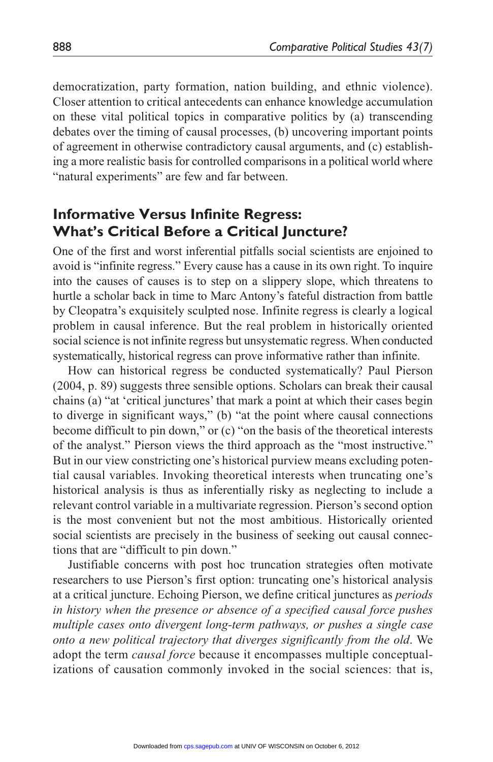democratization, party formation, nation building, and ethnic violence). Closer attention to critical antecedents can enhance knowledge accumulation on these vital political topics in comparative politics by (a) transcending debates over the timing of causal processes, (b) uncovering important points of agreement in otherwise contradictory causal arguments, and (c) establishing a more realistic basis for controlled comparisons in a political world where "natural experiments" are few and far between.

### **Informative Versus Infinite Regress: What's Critical Before a Critical Juncture?**

One of the first and worst inferential pitfalls social scientists are enjoined to avoid is "infinite regress." Every cause has a cause in its own right. To inquire into the causes of causes is to step on a slippery slope, which threatens to hurtle a scholar back in time to Marc Antony's fateful distraction from battle by Cleopatra's exquisitely sculpted nose. Infinite regress is clearly a logical problem in causal inference. But the real problem in historically oriented social science is not infinite regress but unsystematic regress. When conducted systematically, historical regress can prove informative rather than infinite.

How can historical regress be conducted systematically? Paul Pierson (2004, p. 89) suggests three sensible options. Scholars can break their causal chains (a) "at 'critical junctures' that mark a point at which their cases begin to diverge in significant ways," (b) "at the point where causal connections become difficult to pin down," or (c) "on the basis of the theoretical interests of the analyst." Pierson views the third approach as the "most instructive." But in our view constricting one's historical purview means excluding potential causal variables. Invoking theoretical interests when truncating one's historical analysis is thus as inferentially risky as neglecting to include a relevant control variable in a multivariate regression. Pierson's second option is the most convenient but not the most ambitious. Historically oriented social scientists are precisely in the business of seeking out causal connections that are "difficult to pin down."

Justifiable concerns with post hoc truncation strategies often motivate researchers to use Pierson's first option: truncating one's historical analysis at a critical juncture. Echoing Pierson, we define critical junctures as *periods in history when the presence or absence of a specified causal force pushes multiple cases onto divergent long-term pathways, or pushes a single case onto a new political trajectory that diverges significantly from the old*. We adopt the term *causal force* because it encompasses multiple conceptualizations of causation commonly invoked in the social sciences: that is,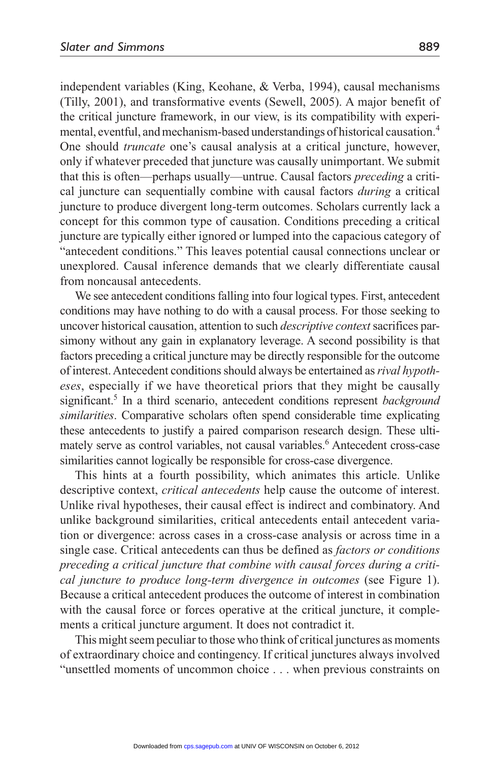independent variables (King, Keohane, & Verba, 1994), causal mechanisms (Tilly, 2001), and transformative events (Sewell, 2005). A major benefit of the critical juncture framework, in our view, is its compatibility with experimental, eventful, and mechanism-based understandings of historical causation.4 One should *truncate* one's causal analysis at a critical juncture, however, only if whatever preceded that juncture was causally unimportant. We submit that this is often—perhaps usually—untrue. Causal factors *preceding* a critical juncture can sequentially combine with causal factors *during* a critical juncture to produce divergent long-term outcomes. Scholars currently lack a concept for this common type of causation. Conditions preceding a critical juncture are typically either ignored or lumped into the capacious category of "antecedent conditions." This leaves potential causal connections unclear or unexplored. Causal inference demands that we clearly differentiate causal from noncausal antecedents.

We see antecedent conditions falling into four logical types. First, antecedent conditions may have nothing to do with a causal process. For those seeking to uncover historical causation, attention to such *descriptive context* sacrifices parsimony without any gain in explanatory leverage. A second possibility is that factors preceding a critical juncture may be directly responsible for the outcome of interest. Antecedent conditions should always be entertained as *rival hypotheses*, especially if we have theoretical priors that they might be causally significant.<sup>5</sup> In a third scenario, antecedent conditions represent *background similarities*. Comparative scholars often spend considerable time explicating these antecedents to justify a paired comparison research design. These ultimately serve as control variables, not causal variables.<sup>6</sup> Antecedent cross-case similarities cannot logically be responsible for cross-case divergence.

This hints at a fourth possibility, which animates this article. Unlike descriptive context, *critical antecedents* help cause the outcome of interest. Unlike rival hypotheses, their causal effect is indirect and combinatory. And unlike background similarities, critical antecedents entail antecedent variation or divergence: across cases in a cross-case analysis or across time in a single case. Critical antecedents can thus be defined as *factors or conditions preceding a critical juncture that combine with causal forces during a critical juncture to produce long-term divergence in outcomes* (see Figure 1). Because a critical antecedent produces the outcome of interest in combination with the causal force or forces operative at the critical juncture, it complements a critical juncture argument. It does not contradict it.

This might seem peculiar to those who think of critical junctures as moments of extraordinary choice and contingency. If critical junctures always involved "unsettled moments of uncommon choice . . . when previous constraints on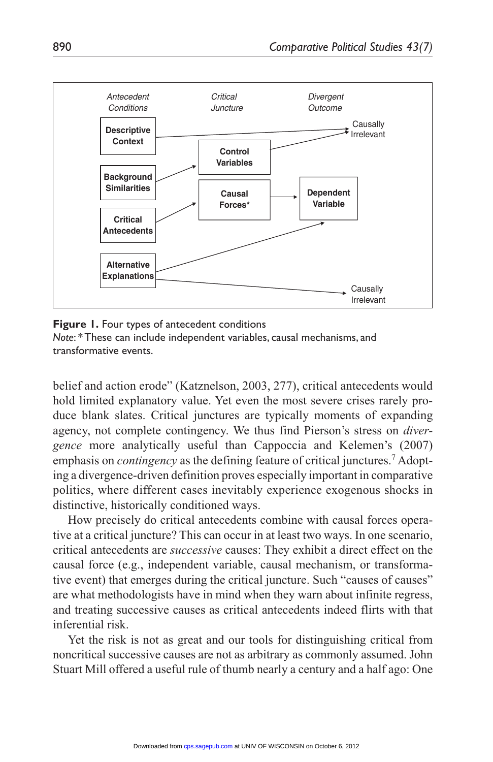

**Figure 1.** Four types of antecedent conditions *Note*: \* These can include independent variables, causal mechanisms, and transformative events.

belief and action erode" (Katznelson, 2003, 277), critical antecedents would hold limited explanatory value. Yet even the most severe crises rarely produce blank slates. Critical junctures are typically moments of expanding agency, not complete contingency. We thus find Pierson's stress on *divergence* more analytically useful than Cappoccia and Kelemen's (2007) emphasis on *contingency* as the defining feature of critical junctures.<sup>7</sup> Adopting a divergence-driven definition proves especially important in comparative politics, where different cases inevitably experience exogenous shocks in distinctive, historically conditioned ways.

How precisely do critical antecedents combine with causal forces operative at a critical juncture? This can occur in at least two ways. In one scenario, critical antecedents are *successive* causes: They exhibit a direct effect on the causal force (e.g., independent variable, causal mechanism, or transformative event) that emerges during the critical juncture. Such "causes of causes" are what methodologists have in mind when they warn about infinite regress, and treating successive causes as critical antecedents indeed flirts with that inferential risk.

Yet the risk is not as great and our tools for distinguishing critical from noncritical successive causes are not as arbitrary as commonly assumed. John Stuart Mill offered a useful rule of thumb nearly a century and a half ago: One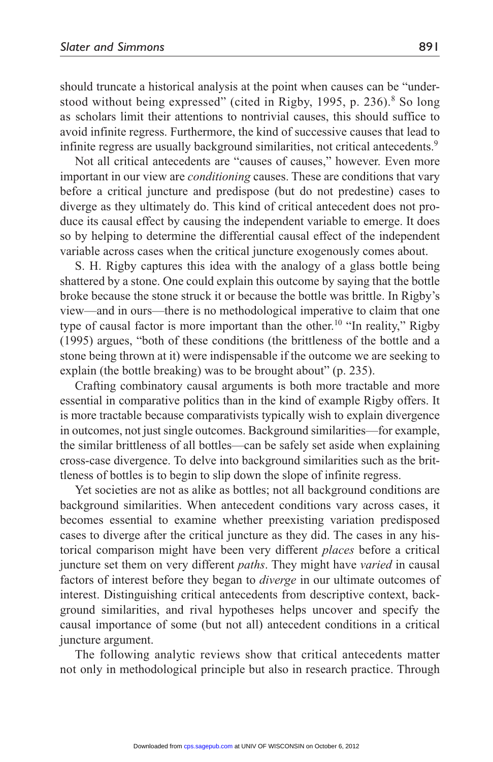should truncate a historical analysis at the point when causes can be "understood without being expressed" (cited in Rigby, 1995, p. 236).<sup>8</sup> So long as scholars limit their attentions to nontrivial causes, this should suffice to avoid infinite regress. Furthermore, the kind of successive causes that lead to infinite regress are usually background similarities, not critical antecedents.<sup>9</sup>

Not all critical antecedents are "causes of causes," however. Even more important in our view are *conditioning* causes. These are conditions that vary before a critical juncture and predispose (but do not predestine) cases to diverge as they ultimately do. This kind of critical antecedent does not produce its causal effect by causing the independent variable to emerge. It does so by helping to determine the differential causal effect of the independent variable across cases when the critical juncture exogenously comes about.

S. H. Rigby captures this idea with the analogy of a glass bottle being shattered by a stone. One could explain this outcome by saying that the bottle broke because the stone struck it or because the bottle was brittle. In Rigby's view—and in ours—there is no methodological imperative to claim that one type of causal factor is more important than the other.<sup>10</sup> "In reality," Rigby (1995) argues, "both of these conditions (the brittleness of the bottle and a stone being thrown at it) were indispensable if the outcome we are seeking to explain (the bottle breaking) was to be brought about" (p. 235).

Crafting combinatory causal arguments is both more tractable and more essential in comparative politics than in the kind of example Rigby offers. It is more tractable because comparativists typically wish to explain divergence in outcomes, not just single outcomes. Background similarities—for example, the similar brittleness of all bottles—can be safely set aside when explaining cross-case divergence. To delve into background similarities such as the brittleness of bottles is to begin to slip down the slope of infinite regress.

Yet societies are not as alike as bottles; not all background conditions are background similarities. When antecedent conditions vary across cases, it becomes essential to examine whether preexisting variation predisposed cases to diverge after the critical juncture as they did. The cases in any historical comparison might have been very different *places* before a critical juncture set them on very different *paths*. They might have *varied* in causal factors of interest before they began to *diverge* in our ultimate outcomes of interest. Distinguishing critical antecedents from descriptive context, background similarities, and rival hypotheses helps uncover and specify the causal importance of some (but not all) antecedent conditions in a critical juncture argument.

The following analytic reviews show that critical antecedents matter not only in methodological principle but also in research practice. Through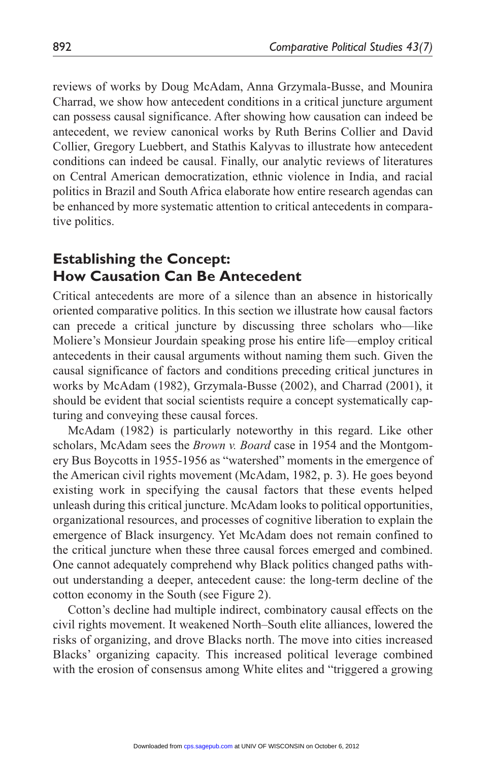reviews of works by Doug McAdam, Anna Grzymala-Busse, and Mounira Charrad, we show how antecedent conditions in a critical juncture argument can possess causal significance. After showing how causation can indeed be antecedent, we review canonical works by Ruth Berins Collier and David Collier, Gregory Luebbert, and Stathis Kalyvas to illustrate how antecedent conditions can indeed be causal. Finally, our analytic reviews of literatures on Central American democratization, ethnic violence in India, and racial politics in Brazil and South Africa elaborate how entire research agendas can be enhanced by more systematic attention to critical antecedents in comparative politics.

### **Establishing the Concept: How Causation Can Be Antecedent**

Critical antecedents are more of a silence than an absence in historically oriented comparative politics. In this section we illustrate how causal factors can precede a critical juncture by discussing three scholars who—like Moliere's Monsieur Jourdain speaking prose his entire life—employ critical antecedents in their causal arguments without naming them such. Given the causal significance of factors and conditions preceding critical junctures in works by McAdam (1982), Grzymala-Busse (2002), and Charrad (2001), it should be evident that social scientists require a concept systematically capturing and conveying these causal forces.

McAdam (1982) is particularly noteworthy in this regard. Like other scholars, McAdam sees the *Brown v. Board* case in 1954 and the Montgomery Bus Boycotts in 1955-1956 as "watershed" moments in the emergence of the American civil rights movement (McAdam, 1982, p. 3). He goes beyond existing work in specifying the causal factors that these events helped unleash during this critical juncture. McAdam looks to political opportunities, organizational resources, and processes of cognitive liberation to explain the emergence of Black insurgency. Yet McAdam does not remain confined to the critical juncture when these three causal forces emerged and combined. One cannot adequately comprehend why Black politics changed paths without understanding a deeper, antecedent cause: the long-term decline of the cotton economy in the South (see Figure 2).

Cotton's decline had multiple indirect, combinatory causal effects on the civil rights movement. It weakened North–South elite alliances, lowered the risks of organizing, and drove Blacks north. The move into cities increased Blacks' organizing capacity. This increased political leverage combined with the erosion of consensus among White elites and "triggered a growing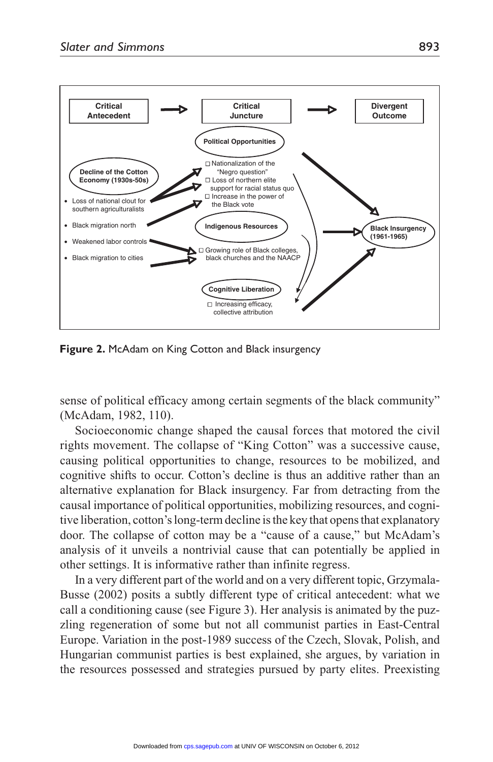

**Figure 2.** McAdam on King Cotton and Black insurgency

sense of political efficacy among certain segments of the black community" (McAdam, 1982, 110).

Socioeconomic change shaped the causal forces that motored the civil rights movement. The collapse of "King Cotton" was a successive cause, causing political opportunities to change, resources to be mobilized, and cognitive shifts to occur. Cotton's decline is thus an additive rather than an alternative explanation for Black insurgency. Far from detracting from the causal importance of political opportunities, mobilizing resources, and cognitive liberation, cotton's long-term decline is the key that opens that explanatory door. The collapse of cotton may be a "cause of a cause," but McAdam's analysis of it unveils a nontrivial cause that can potentially be applied in other settings. It is informative rather than infinite regress.

In a very different part of the world and on a very different topic, Grzymala-Busse (2002) posits a subtly different type of critical antecedent: what we call a conditioning cause (see Figure 3). Her analysis is animated by the puzzling regeneration of some but not all communist parties in East-Central Europe. Variation in the post-1989 success of the Czech, Slovak, Polish, and Hungarian communist parties is best explained, she argues, by variation in the resources possessed and strategies pursued by party elites. Preexisting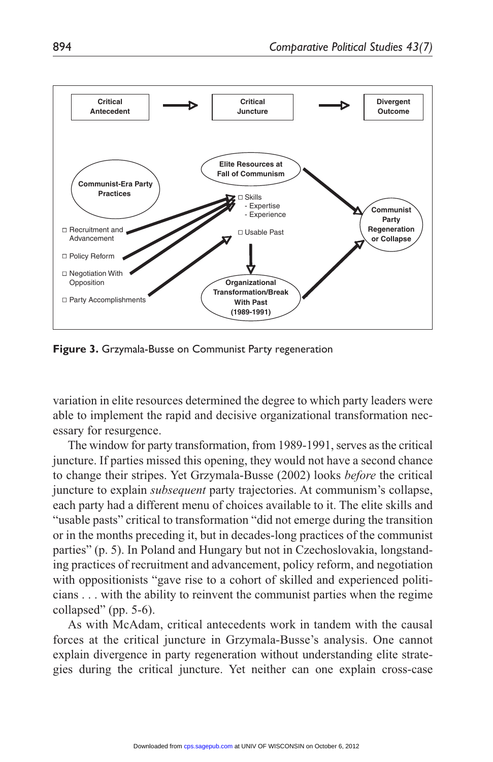

**Figure 3.** Grzymala-Busse on Communist Party regeneration

variation in elite resources determined the degree to which party leaders were able to implement the rapid and decisive organizational transformation necessary for resurgence.

The window for party transformation, from 1989-1991, serves as the critical juncture. If parties missed this opening, they would not have a second chance to change their stripes. Yet Grzymala-Busse (2002) looks *before* the critical juncture to explain *subsequent* party trajectories. At communism's collapse, each party had a different menu of choices available to it. The elite skills and "usable pasts" critical to transformation "did not emerge during the transition or in the months preceding it, but in decades-long practices of the communist parties" (p. 5). In Poland and Hungary but not in Czechoslovakia, longstanding practices of recruitment and advancement, policy reform, and negotiation with oppositionists "gave rise to a cohort of skilled and experienced politicians . . . with the ability to reinvent the communist parties when the regime collapsed" (pp. 5-6).

As with McAdam, critical antecedents work in tandem with the causal forces at the critical juncture in Grzymala-Busse's analysis. One cannot explain divergence in party regeneration without understanding elite strategies during the critical juncture. Yet neither can one explain cross-case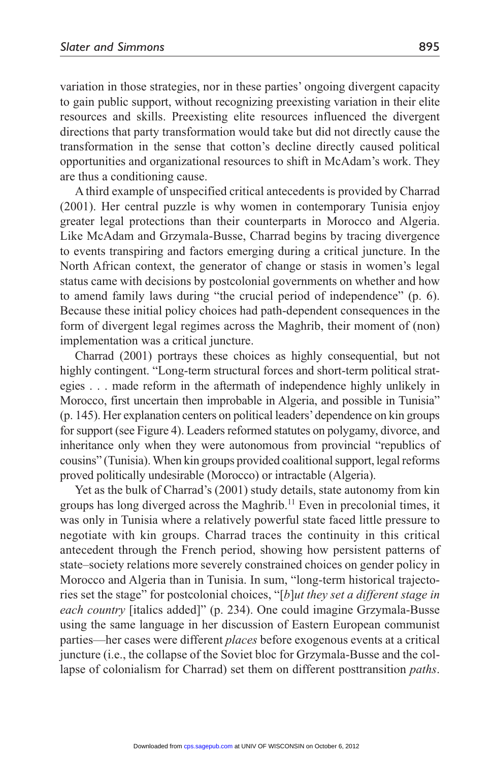variation in those strategies, nor in these parties' ongoing divergent capacity to gain public support, without recognizing preexisting variation in their elite resources and skills. Preexisting elite resources influenced the divergent directions that party transformation would take but did not directly cause the transformation in the sense that cotton's decline directly caused political opportunities and organizational resources to shift in McAdam's work. They are thus a conditioning cause.

A third example of unspecified critical antecedents is provided by Charrad (2001). Her central puzzle is why women in contemporary Tunisia enjoy greater legal protections than their counterparts in Morocco and Algeria. Like McAdam and Grzymala-Busse, Charrad begins by tracing divergence to events transpiring and factors emerging during a critical juncture. In the North African context, the generator of change or stasis in women's legal status came with decisions by postcolonial governments on whether and how to amend family laws during "the crucial period of independence" (p. 6). Because these initial policy choices had path-dependent consequences in the form of divergent legal regimes across the Maghrib, their moment of (non) implementation was a critical juncture.

Charrad (2001) portrays these choices as highly consequential, but not highly contingent. "Long-term structural forces and short-term political strategies . . . made reform in the aftermath of independence highly unlikely in Morocco, first uncertain then improbable in Algeria, and possible in Tunisia" (p. 145). Her explanation centers on political leaders' dependence on kin groups for support (see Figure 4). Leaders reformed statutes on polygamy, divorce, and inheritance only when they were autonomous from provincial "republics of cousins" (Tunisia). When kin groups provided coalitional support, legal reforms proved politically undesirable (Morocco) or intractable (Algeria).

Yet as the bulk of Charrad's (2001) study details, state autonomy from kin groups has long diverged across the Maghrib.11 Even in precolonial times, it was only in Tunisia where a relatively powerful state faced little pressure to negotiate with kin groups. Charrad traces the continuity in this critical antecedent through the French period, showing how persistent patterns of state–society relations more severely constrained choices on gender policy in Morocco and Algeria than in Tunisia. In sum, "long-term historical trajectories set the stage" for postcolonial choices, "[*b*]*ut they set a different stage in each country* [italics added]" (p. 234). One could imagine Grzymala-Busse using the same language in her discussion of Eastern European communist parties—her cases were different *places* before exogenous events at a critical juncture (i.e., the collapse of the Soviet bloc for Grzymala-Busse and the collapse of colonialism for Charrad) set them on different posttransition *paths*.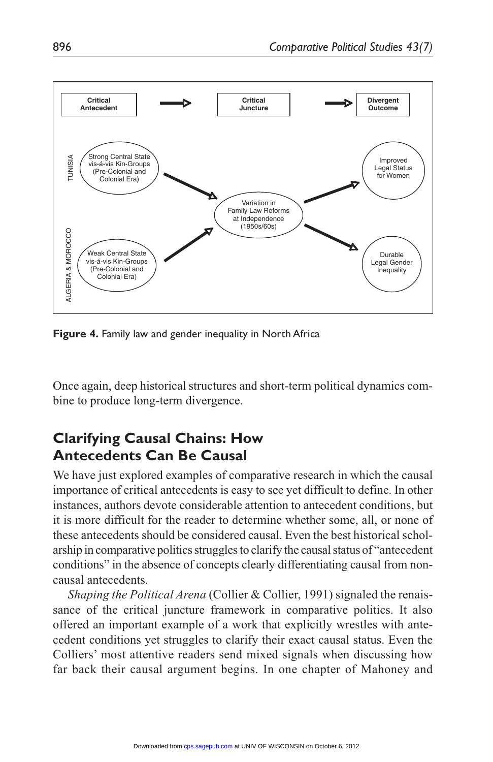

**Figure 4.** Family law and gender inequality in North Africa

Once again, deep historical structures and short-term political dynamics combine to produce long-term divergence.

### **Clarifying Causal Chains: How Antecedents Can Be Causal**

We have just explored examples of comparative research in which the causal importance of critical antecedents is easy to see yet difficult to define. In other instances, authors devote considerable attention to antecedent conditions, but it is more difficult for the reader to determine whether some, all, or none of these antecedents should be considered causal. Even the best historical scholarship in comparative politics struggles to clarify the causal status of "antecedent conditions" in the absence of concepts clearly differentiating causal from noncausal antecedents.

*Shaping the Political Arena* (Collier & Collier, 1991) signaled the renaissance of the critical juncture framework in comparative politics. It also offered an important example of a work that explicitly wrestles with antecedent conditions yet struggles to clarify their exact causal status. Even the Colliers' most attentive readers send mixed signals when discussing how far back their causal argument begins. In one chapter of Mahoney and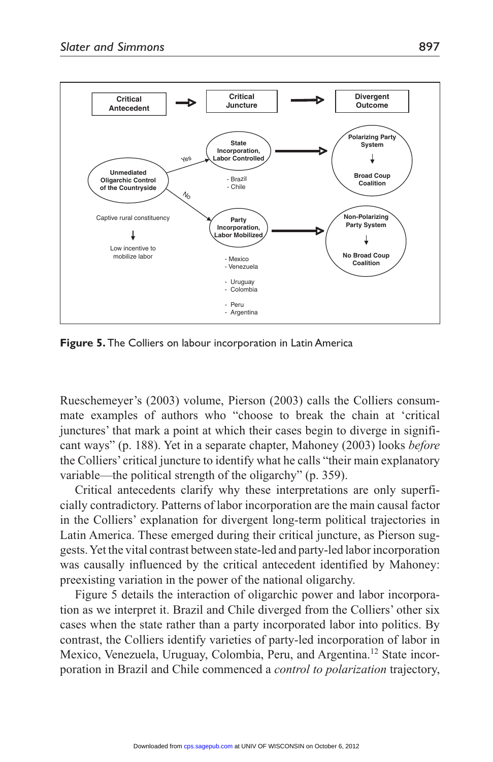

**Figure 5.** The Colliers on labour incorporation in Latin America

Rueschemeyer's (2003) volume, Pierson (2003) calls the Colliers consummate examples of authors who "choose to break the chain at 'critical junctures' that mark a point at which their cases begin to diverge in significant ways" (p. 188). Yet in a separate chapter, Mahoney (2003) looks *before* the Colliers' critical juncture to identify what he calls "their main explanatory variable—the political strength of the oligarchy" (p. 359).

Critical antecedents clarify why these interpretations are only superficially contradictory. Patterns of labor incorporation are the main causal factor in the Colliers' explanation for divergent long-term political trajectories in Latin America. These emerged during their critical juncture, as Pierson suggests. Yet the vital contrast between state-led and party-led labor incorporation was causally influenced by the critical antecedent identified by Mahoney: preexisting variation in the power of the national oligarchy.

Figure 5 details the interaction of oligarchic power and labor incorporation as we interpret it. Brazil and Chile diverged from the Colliers' other six cases when the state rather than a party incorporated labor into politics. By contrast, the Colliers identify varieties of party-led incorporation of labor in Mexico, Venezuela, Uruguay, Colombia, Peru, and Argentina.<sup>12</sup> State incorporation in Brazil and Chile commenced a *control to polarization* trajectory,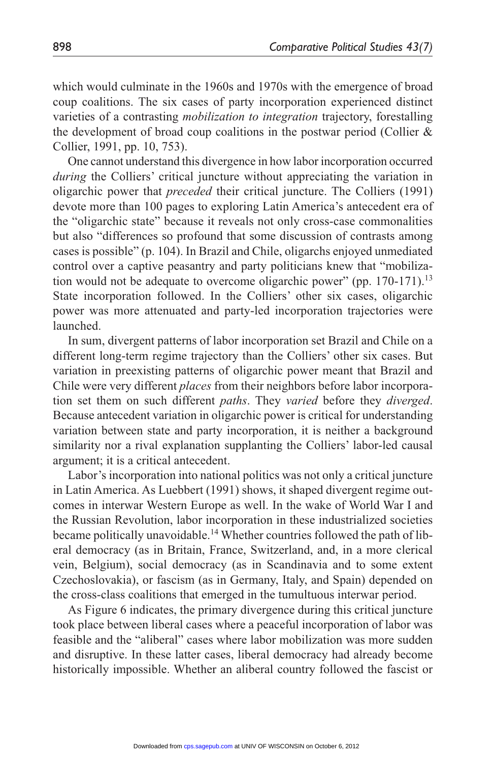which would culminate in the 1960s and 1970s with the emergence of broad coup coalitions. The six cases of party incorporation experienced distinct varieties of a contrasting *mobilization to integration* trajectory, forestalling the development of broad coup coalitions in the postwar period (Collier & Collier, 1991, pp. 10, 753).

One cannot understand this divergence in how labor incorporation occurred *during* the Colliers' critical juncture without appreciating the variation in oligarchic power that *preceded* their critical juncture. The Colliers (1991) devote more than 100 pages to exploring Latin America's antecedent era of the "oligarchic state" because it reveals not only cross-case commonalities but also "differences so profound that some discussion of contrasts among cases is possible" (p. 104). In Brazil and Chile, oligarchs enjoyed unmediated control over a captive peasantry and party politicians knew that "mobilization would not be adequate to overcome oligarchic power" (pp.  $170-171$ ).<sup>13</sup> State incorporation followed. In the Colliers' other six cases, oligarchic power was more attenuated and party-led incorporation trajectories were launched.

In sum, divergent patterns of labor incorporation set Brazil and Chile on a different long-term regime trajectory than the Colliers' other six cases. But variation in preexisting patterns of oligarchic power meant that Brazil and Chile were very different *places* from their neighbors before labor incorporation set them on such different *paths*. They *varied* before they *diverged*. Because antecedent variation in oligarchic power is critical for understanding variation between state and party incorporation, it is neither a background similarity nor a rival explanation supplanting the Colliers' labor-led causal argument; it is a critical antecedent.

Labor's incorporation into national politics was not only a critical juncture in Latin America. As Luebbert (1991) shows, it shaped divergent regime outcomes in interwar Western Europe as well. In the wake of World War I and the Russian Revolution, labor incorporation in these industrialized societies became politically unavoidable.<sup>14</sup> Whether countries followed the path of liberal democracy (as in Britain, France, Switzerland, and, in a more clerical vein, Belgium), social democracy (as in Scandinavia and to some extent Czechoslovakia), or fascism (as in Germany, Italy, and Spain) depended on the cross-class coalitions that emerged in the tumultuous interwar period.

As Figure 6 indicates, the primary divergence during this critical juncture took place between liberal cases where a peaceful incorporation of labor was feasible and the "aliberal" cases where labor mobilization was more sudden and disruptive. In these latter cases, liberal democracy had already become historically impossible. Whether an aliberal country followed the fascist or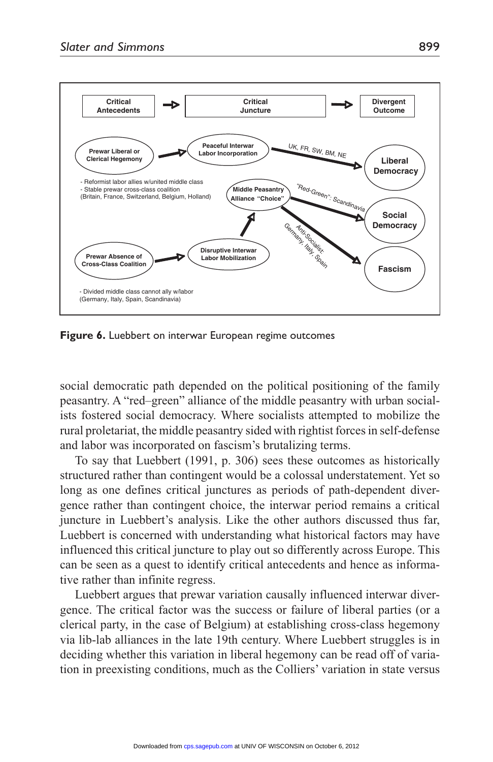

**Figure 6.** Luebbert on interwar European regime outcomes

social democratic path depended on the political positioning of the family peasantry. A "red–green" alliance of the middle peasantry with urban socialists fostered social democracy. Where socialists attempted to mobilize the rural proletariat, the middle peasantry sided with rightist forces in self-defense and labor was incorporated on fascism's brutalizing terms.

To say that Luebbert (1991, p. 306) sees these outcomes as historically structured rather than contingent would be a colossal understatement. Yet so long as one defines critical junctures as periods of path-dependent divergence rather than contingent choice, the interwar period remains a critical juncture in Luebbert's analysis. Like the other authors discussed thus far, Luebbert is concerned with understanding what historical factors may have influenced this critical juncture to play out so differently across Europe. This can be seen as a quest to identify critical antecedents and hence as informative rather than infinite regress.

Luebbert argues that prewar variation causally influenced interwar divergence. The critical factor was the success or failure of liberal parties (or a clerical party, in the case of Belgium) at establishing cross-class hegemony via lib-lab alliances in the late 19th century. Where Luebbert struggles is in deciding whether this variation in liberal hegemony can be read off of variation in preexisting conditions, much as the Colliers' variation in state versus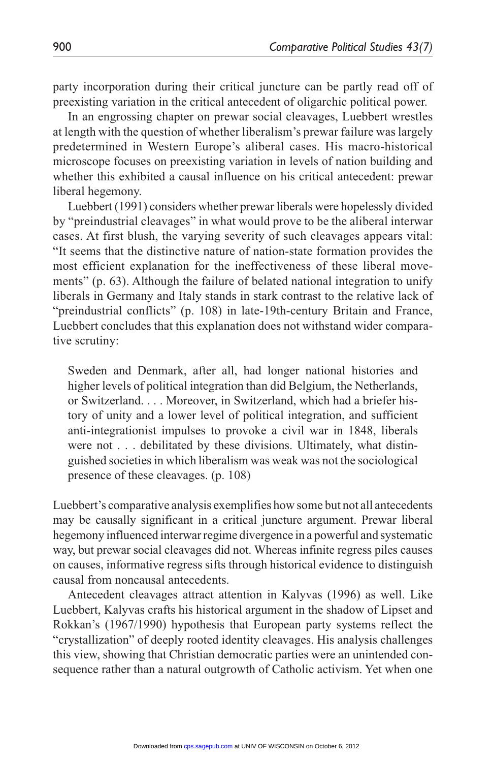party incorporation during their critical juncture can be partly read off of preexisting variation in the critical antecedent of oligarchic political power.

In an engrossing chapter on prewar social cleavages, Luebbert wrestles at length with the question of whether liberalism's prewar failure was largely predetermined in Western Europe's aliberal cases. His macro-historical microscope focuses on preexisting variation in levels of nation building and whether this exhibited a causal influence on his critical antecedent: prewar liberal hegemony.

Luebbert (1991) considers whether prewar liberals were hopelessly divided by "preindustrial cleavages" in what would prove to be the aliberal interwar cases. At first blush, the varying severity of such cleavages appears vital: "It seems that the distinctive nature of nation-state formation provides the most efficient explanation for the ineffectiveness of these liberal movements" (p. 63). Although the failure of belated national integration to unify liberals in Germany and Italy stands in stark contrast to the relative lack of "preindustrial conflicts" (p. 108) in late-19th-century Britain and France, Luebbert concludes that this explanation does not withstand wider comparative scrutiny:

Sweden and Denmark, after all, had longer national histories and higher levels of political integration than did Belgium, the Netherlands, or Switzerland. . . . Moreover, in Switzerland, which had a briefer history of unity and a lower level of political integration, and sufficient anti-integrationist impulses to provoke a civil war in 1848, liberals were not . . . debilitated by these divisions. Ultimately, what distinguished societies in which liberalism was weak was not the sociological presence of these cleavages. (p. 108)

Luebbert's comparative analysis exemplifies how some but not all antecedents may be causally significant in a critical juncture argument. Prewar liberal hegemony influenced interwar regime divergence in a powerful and systematic way, but prewar social cleavages did not. Whereas infinite regress piles causes on causes, informative regress sifts through historical evidence to distinguish causal from noncausal antecedents.

Antecedent cleavages attract attention in Kalyvas (1996) as well. Like Luebbert, Kalyvas crafts his historical argument in the shadow of Lipset and Rokkan's (1967/1990) hypothesis that European party systems reflect the "crystallization" of deeply rooted identity cleavages. His analysis challenges this view, showing that Christian democratic parties were an unintended consequence rather than a natural outgrowth of Catholic activism. Yet when one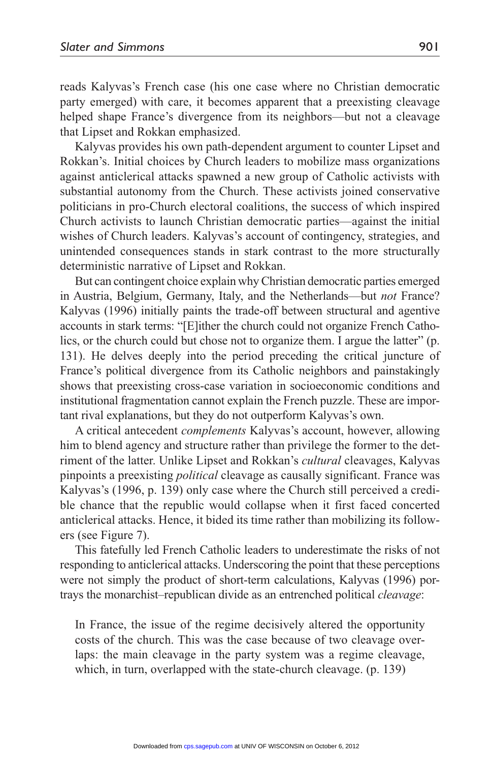reads Kalyvas's French case (his one case where no Christian democratic party emerged) with care, it becomes apparent that a preexisting cleavage helped shape France's divergence from its neighbors—but not a cleavage that Lipset and Rokkan emphasized.

Kalyvas provides his own path-dependent argument to counter Lipset and Rokkan's. Initial choices by Church leaders to mobilize mass organizations against anticlerical attacks spawned a new group of Catholic activists with substantial autonomy from the Church. These activists joined conservative politicians in pro-Church electoral coalitions, the success of which inspired Church activists to launch Christian democratic parties—against the initial wishes of Church leaders. Kalyvas's account of contingency, strategies, and unintended consequences stands in stark contrast to the more structurally deterministic narrative of Lipset and Rokkan.

But can contingent choice explain why Christian democratic parties emerged in Austria, Belgium, Germany, Italy, and the Netherlands—but *not* France? Kalyvas (1996) initially paints the trade-off between structural and agentive accounts in stark terms: "[E]ither the church could not organize French Catholics, or the church could but chose not to organize them. I argue the latter" (p. 131). He delves deeply into the period preceding the critical juncture of France's political divergence from its Catholic neighbors and painstakingly shows that preexisting cross-case variation in socioeconomic conditions and institutional fragmentation cannot explain the French puzzle. These are important rival explanations, but they do not outperform Kalyvas's own.

A critical antecedent *complements* Kalyvas's account, however, allowing him to blend agency and structure rather than privilege the former to the detriment of the latter. Unlike Lipset and Rokkan's *cultural* cleavages, Kalyvas pinpoints a preexisting *political* cleavage as causally significant. France was Kalyvas's (1996, p. 139) only case where the Church still perceived a credible chance that the republic would collapse when it first faced concerted anticlerical attacks. Hence, it bided its time rather than mobilizing its followers (see Figure 7).

This fatefully led French Catholic leaders to underestimate the risks of not responding to anticlerical attacks. Underscoring the point that these perceptions were not simply the product of short-term calculations, Kalyvas (1996) portrays the monarchist–republican divide as an entrenched political *cleavage*:

In France, the issue of the regime decisively altered the opportunity costs of the church. This was the case because of two cleavage overlaps: the main cleavage in the party system was a regime cleavage, which, in turn, overlapped with the state-church cleavage. (p. 139)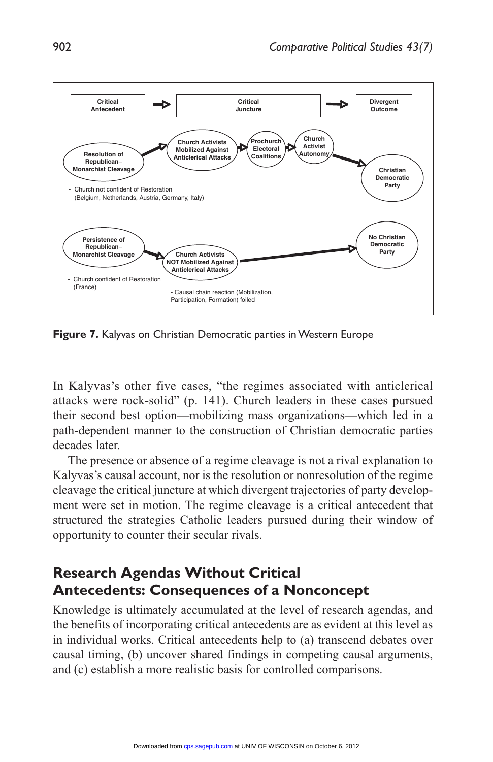

**Figure 7.** Kalyvas on Christian Democratic parties in Western Europe

In Kalyvas's other five cases, "the regimes associated with anticlerical attacks were rock-solid" (p. 141). Church leaders in these cases pursued their second best option—mobilizing mass organizations—which led in a path-dependent manner to the construction of Christian democratic parties decades later.

The presence or absence of a regime cleavage is not a rival explanation to Kalyvas's causal account, nor is the resolution or nonresolution of the regime cleavage the critical juncture at which divergent trajectories of party development were set in motion. The regime cleavage is a critical antecedent that structured the strategies Catholic leaders pursued during their window of opportunity to counter their secular rivals.

### **Research Agendas Without Critical Antecedents: Consequences of a Nonconcept**

Knowledge is ultimately accumulated at the level of research agendas, and the benefits of incorporating critical antecedents are as evident at this level as in individual works. Critical antecedents help to (a) transcend debates over causal timing, (b) uncover shared findings in competing causal arguments, and (c) establish a more realistic basis for controlled comparisons.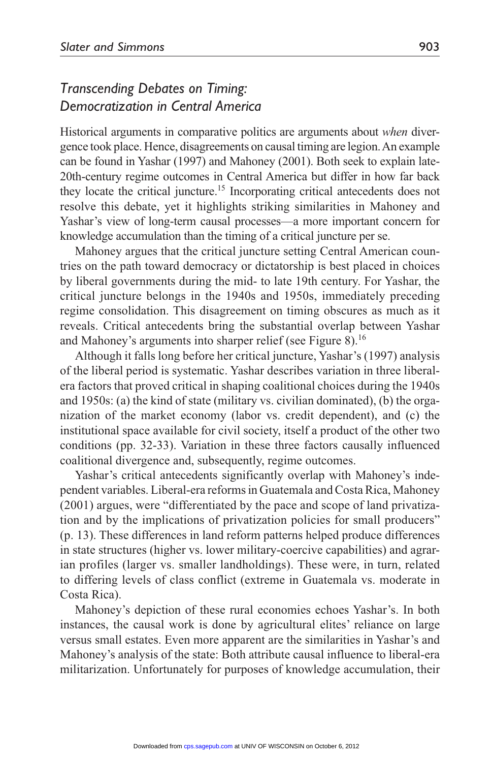#### *Transcending Debates on Timing: Democratization in Central America*

Historical arguments in comparative politics are arguments about *when* divergence took place. Hence, disagreements on causal timing are legion. An example can be found in Yashar (1997) and Mahoney (2001). Both seek to explain late-20th-century regime outcomes in Central America but differ in how far back they locate the critical juncture.15 Incorporating critical antecedents does not resolve this debate, yet it highlights striking similarities in Mahoney and Yashar's view of long-term causal processes—a more important concern for knowledge accumulation than the timing of a critical juncture per se.

Mahoney argues that the critical juncture setting Central American countries on the path toward democracy or dictatorship is best placed in choices by liberal governments during the mid- to late 19th century. For Yashar, the critical juncture belongs in the 1940s and 1950s, immediately preceding regime consolidation. This disagreement on timing obscures as much as it reveals. Critical antecedents bring the substantial overlap between Yashar and Mahoney's arguments into sharper relief (see Figure 8).<sup>16</sup>

Although it falls long before her critical juncture, Yashar's (1997) analysis of the liberal period is systematic. Yashar describes variation in three liberalera factors that proved critical in shaping coalitional choices during the 1940s and 1950s: (a) the kind of state (military vs. civilian dominated), (b) the organization of the market economy (labor vs. credit dependent), and (c) the institutional space available for civil society, itself a product of the other two conditions (pp. 32-33). Variation in these three factors causally influenced coalitional divergence and, subsequently, regime outcomes.

Yashar's critical antecedents significantly overlap with Mahoney's independent variables. Liberal-era reforms in Guatemala and Costa Rica, Mahoney (2001) argues, were "differentiated by the pace and scope of land privatization and by the implications of privatization policies for small producers" (p. 13). These differences in land reform patterns helped produce differences in state structures (higher vs. lower military-coercive capabilities) and agrarian profiles (larger vs. smaller landholdings). These were, in turn, related to differing levels of class conflict (extreme in Guatemala vs. moderate in Costa Rica).

Mahoney's depiction of these rural economies echoes Yashar's. In both instances, the causal work is done by agricultural elites' reliance on large versus small estates. Even more apparent are the similarities in Yashar's and Mahoney's analysis of the state: Both attribute causal influence to liberal-era militarization. Unfortunately for purposes of knowledge accumulation, their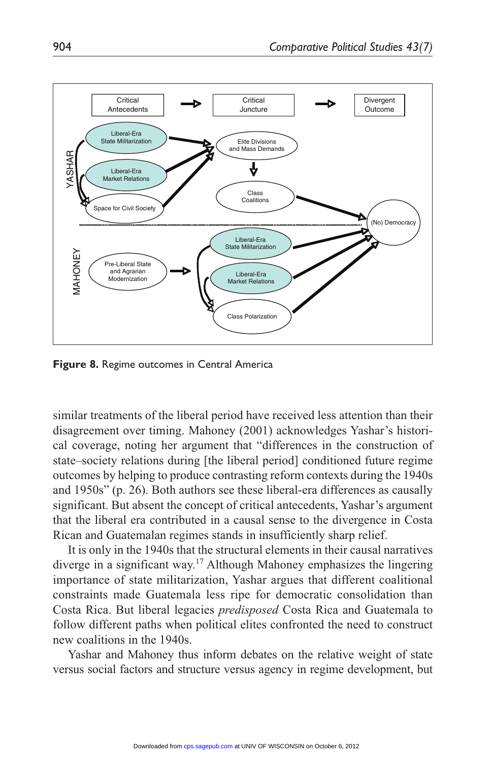

**Figure 8.** Regime outcomes in Central America

similar treatments of the liberal period have received less attention than their disagreement over timing. Mahoney (2001) acknowledges Yashar's historical coverage, noting her argument that "differences in the construction of state–society relations during [the liberal period] conditioned future regime outcomes by helping to produce contrasting reform contexts during the 1940s and 1950s" (p. 26). Both authors see these liberal-era differences as causally significant. But absent the concept of critical antecedents, Yashar's argument that the liberal era contributed in a causal sense to the divergence in Costa Rican and Guatemalan regimes stands in insufficiently sharp relief.

It is only in the 1940s that the structural elements in their causal narratives diverge in a significant way.<sup>17</sup> Although Mahoney emphasizes the lingering importance of state militarization, Yashar argues that different coalitional constraints made Guatemala less ripe for democratic consolidation than Costa Rica. But liberal legacies *predisposed* Costa Rica and Guatemala to follow different paths when political elites confronted the need to construct new coalitions in the 1940s.

Yashar and Mahoney thus inform debates on the relative weight of state versus social factors and structure versus agency in regime development, but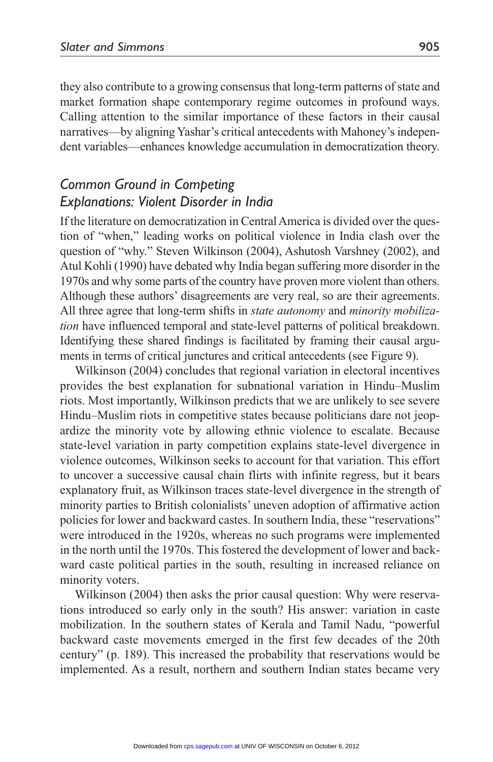they also contribute to a growing consensus that long-term patterns of state and market formation shape contemporary regime outcomes in profound ways. Calling attention to the similar importance of these factors in their causal narratives—by aligning Yashar's critical antecedents with Mahoney's independent variables—enhances knowledge accumulation in democratization theory.

### *Common Ground in Competing Explanations: Violent Disorder in India*

If the literature on democratization in Central America is divided over the question of "when," leading works on political violence in India clash over the question of "why." Steven Wilkinson (2004), Ashutosh Varshney (2002), and Atul Kohli (1990) have debated why India began suffering more disorder in the 1970s and why some parts of the country have proven more violent than others. Although these authors' disagreements are very real, so are their agreements. All three agree that long-term shifts in *state autonomy* and *minority mobilization* have influenced temporal and state-level patterns of political breakdown. Identifying these shared findings is facilitated by framing their causal arguments in terms of critical junctures and critical antecedents (see Figure 9).

Wilkinson (2004) concludes that regional variation in electoral incentives provides the best explanation for subnational variation in Hindu–Muslim riots. Most importantly, Wilkinson predicts that we are unlikely to see severe Hindu–Muslim riots in competitive states because politicians dare not jeopardize the minority vote by allowing ethnic violence to escalate. Because state-level variation in party competition explains state-level divergence in violence outcomes, Wilkinson seeks to account for that variation. This effort to uncover a successive causal chain flirts with infinite regress, but it bears explanatory fruit, as Wilkinson traces state-level divergence in the strength of minority parties to British colonialists' uneven adoption of affirmative action policies for lower and backward castes. In southern India, these "reservations" were introduced in the 1920s, whereas no such programs were implemented in the north until the 1970s. This fostered the development of lower and backward caste political parties in the south, resulting in increased reliance on minority voters.

Wilkinson (2004) then asks the prior causal question: Why were reservations introduced so early only in the south? His answer: variation in caste mobilization. In the southern states of Kerala and Tamil Nadu, "powerful backward caste movements emerged in the first few decades of the 20th century" (p. 189). This increased the probability that reservations would be implemented. As a result, northern and southern Indian states became very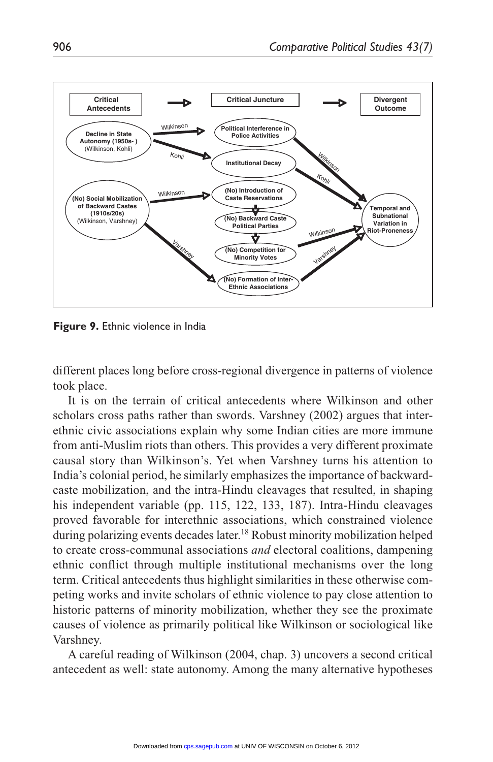

**Figure 9.** Ethnic violence in India

different places long before cross-regional divergence in patterns of violence took place.

It is on the terrain of critical antecedents where Wilkinson and other scholars cross paths rather than swords. Varshney (2002) argues that interethnic civic associations explain why some Indian cities are more immune from anti-Muslim riots than others. This provides a very different proximate causal story than Wilkinson's. Yet when Varshney turns his attention to India's colonial period, he similarly emphasizes the importance of backwardcaste mobilization, and the intra-Hindu cleavages that resulted, in shaping his independent variable (pp. 115, 122, 133, 187). Intra-Hindu cleavages proved favorable for interethnic associations, which constrained violence during polarizing events decades later.<sup>18</sup> Robust minority mobilization helped to create cross-communal associations *and* electoral coalitions, dampening ethnic conflict through multiple institutional mechanisms over the long term. Critical antecedents thus highlight similarities in these otherwise competing works and invite scholars of ethnic violence to pay close attention to historic patterns of minority mobilization, whether they see the proximate causes of violence as primarily political like Wilkinson or sociological like Varshney.

A careful reading of Wilkinson (2004, chap. 3) uncovers a second critical antecedent as well: state autonomy. Among the many alternative hypotheses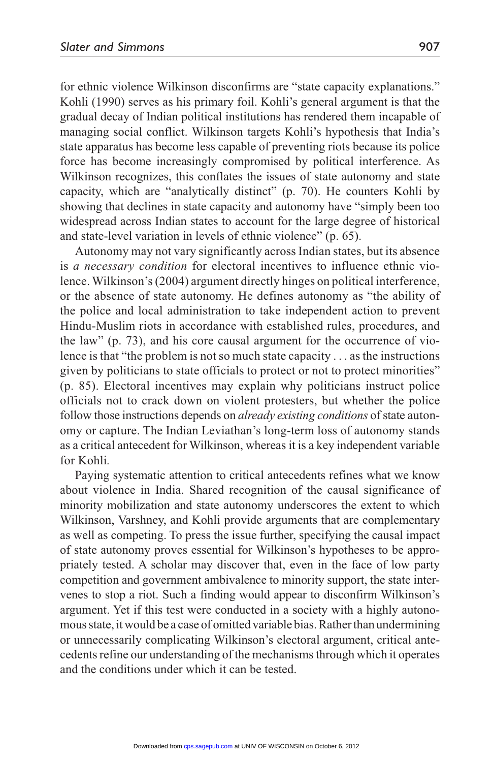for ethnic violence Wilkinson disconfirms are "state capacity explanations." Kohli (1990) serves as his primary foil. Kohli's general argument is that the gradual decay of Indian political institutions has rendered them incapable of managing social conflict. Wilkinson targets Kohli's hypothesis that India's state apparatus has become less capable of preventing riots because its police force has become increasingly compromised by political interference. As Wilkinson recognizes, this conflates the issues of state autonomy and state capacity, which are "analytically distinct" (p. 70). He counters Kohli by showing that declines in state capacity and autonomy have "simply been too widespread across Indian states to account for the large degree of historical and state-level variation in levels of ethnic violence" (p. 65).

Autonomy may not vary significantly across Indian states, but its absence is *a necessary condition* for electoral incentives to influence ethnic violence. Wilkinson's (2004) argument directly hinges on political interference, or the absence of state autonomy. He defines autonomy as "the ability of the police and local administration to take independent action to prevent Hindu-Muslim riots in accordance with established rules, procedures, and the law" (p. 73), and his core causal argument for the occurrence of violence is that "the problem is not so much state capacity . . . as the instructions given by politicians to state officials to protect or not to protect minorities" (p. 85). Electoral incentives may explain why politicians instruct police officials not to crack down on violent protesters, but whether the police follow those instructions depends on *already existing conditions* of state autonomy or capture. The Indian Leviathan's long-term loss of autonomy stands as a critical antecedent for Wilkinson, whereas it is a key independent variable for Kohli*.*

Paying systematic attention to critical antecedents refines what we know about violence in India. Shared recognition of the causal significance of minority mobilization and state autonomy underscores the extent to which Wilkinson, Varshney, and Kohli provide arguments that are complementary as well as competing. To press the issue further, specifying the causal impact of state autonomy proves essential for Wilkinson's hypotheses to be appropriately tested. A scholar may discover that, even in the face of low party competition and government ambivalence to minority support, the state intervenes to stop a riot. Such a finding would appear to disconfirm Wilkinson's argument. Yet if this test were conducted in a society with a highly autonomous state, it would be a case of omitted variable bias. Rather than undermining or unnecessarily complicating Wilkinson's electoral argument, critical antecedents refine our understanding of the mechanisms through which it operates and the conditions under which it can be tested.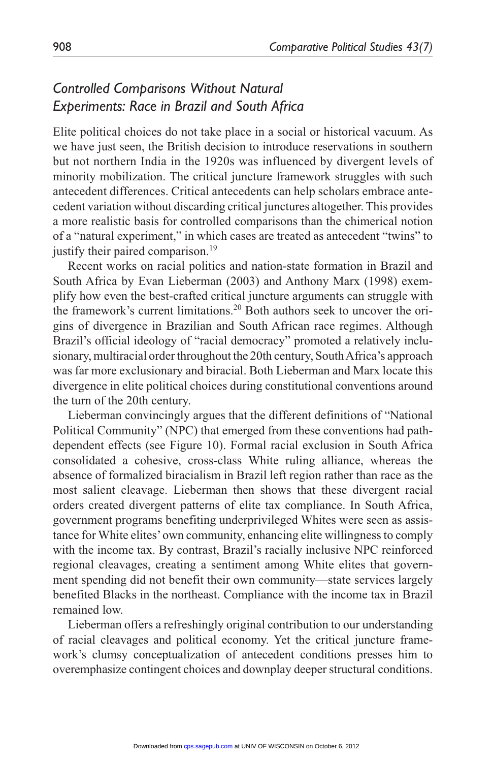### *Controlled Comparisons Without Natural Experiments: Race in Brazil and South Africa*

Elite political choices do not take place in a social or historical vacuum. As we have just seen, the British decision to introduce reservations in southern but not northern India in the 1920s was influenced by divergent levels of minority mobilization. The critical juncture framework struggles with such antecedent differences. Critical antecedents can help scholars embrace antecedent variation without discarding critical junctures altogether. This provides a more realistic basis for controlled comparisons than the chimerical notion of a "natural experiment," in which cases are treated as antecedent "twins" to justify their paired comparison.<sup>19</sup>

Recent works on racial politics and nation-state formation in Brazil and South Africa by Evan Lieberman (2003) and Anthony Marx (1998) exemplify how even the best-crafted critical juncture arguments can struggle with the framework's current limitations.<sup>20</sup> Both authors seek to uncover the origins of divergence in Brazilian and South African race regimes. Although Brazil's official ideology of "racial democracy" promoted a relatively inclusionary, multiracial order throughout the 20th century, South Africa's approach was far more exclusionary and biracial. Both Lieberman and Marx locate this divergence in elite political choices during constitutional conventions around the turn of the 20th century.

Lieberman convincingly argues that the different definitions of "National Political Community" (NPC) that emerged from these conventions had pathdependent effects (see Figure 10). Formal racial exclusion in South Africa consolidated a cohesive, cross-class White ruling alliance, whereas the absence of formalized biracialism in Brazil left region rather than race as the most salient cleavage. Lieberman then shows that these divergent racial orders created divergent patterns of elite tax compliance. In South Africa, government programs benefiting underprivileged Whites were seen as assistance for White elites' own community, enhancing elite willingness to comply with the income tax. By contrast, Brazil's racially inclusive NPC reinforced regional cleavages, creating a sentiment among White elites that government spending did not benefit their own community—state services largely benefited Blacks in the northeast. Compliance with the income tax in Brazil remained low.

Lieberman offers a refreshingly original contribution to our understanding of racial cleavages and political economy. Yet the critical juncture framework's clumsy conceptualization of antecedent conditions presses him to overemphasize contingent choices and downplay deeper structural conditions.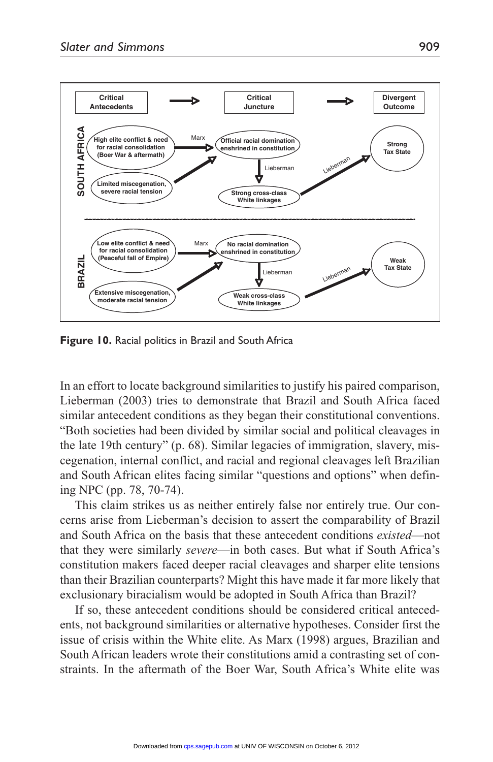

**Figure 10.** Racial politics in Brazil and South Africa

In an effort to locate background similarities to justify his paired comparison, Lieberman (2003) tries to demonstrate that Brazil and South Africa faced similar antecedent conditions as they began their constitutional conventions. "Both societies had been divided by similar social and political cleavages in the late 19th century" (p. 68). Similar legacies of immigration, slavery, miscegenation, internal conflict, and racial and regional cleavages left Brazilian and South African elites facing similar "questions and options" when defining NPC (pp. 78, 70-74).

This claim strikes us as neither entirely false nor entirely true. Our concerns arise from Lieberman's decision to assert the comparability of Brazil and South Africa on the basis that these antecedent conditions *existed*—not that they were similarly *severe*—in both cases. But what if South Africa's constitution makers faced deeper racial cleavages and sharper elite tensions than their Brazilian counterparts? Might this have made it far more likely that exclusionary biracialism would be adopted in South Africa than Brazil?

If so, these antecedent conditions should be considered critical antecedents, not background similarities or alternative hypotheses. Consider first the issue of crisis within the White elite. As Marx (1998) argues, Brazilian and South African leaders wrote their constitutions amid a contrasting set of constraints. In the aftermath of the Boer War, South Africa's White elite was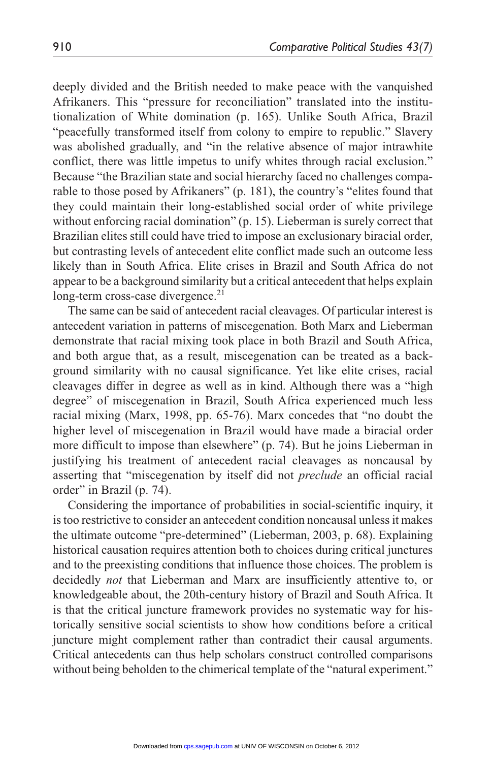deeply divided and the British needed to make peace with the vanquished Afrikaners. This "pressure for reconciliation" translated into the institutionalization of White domination (p. 165). Unlike South Africa, Brazil "peacefully transformed itself from colony to empire to republic." Slavery was abolished gradually, and "in the relative absence of major intrawhite conflict, there was little impetus to unify whites through racial exclusion." Because "the Brazilian state and social hierarchy faced no challenges comparable to those posed by Afrikaners" (p. 181), the country's "elites found that they could maintain their long-established social order of white privilege without enforcing racial domination" (p. 15). Lieberman is surely correct that Brazilian elites still could have tried to impose an exclusionary biracial order, but contrasting levels of antecedent elite conflict made such an outcome less likely than in South Africa. Elite crises in Brazil and South Africa do not appear to be a background similarity but a critical antecedent that helps explain long-term cross-case divergence. $21$ 

The same can be said of antecedent racial cleavages. Of particular interest is antecedent variation in patterns of miscegenation. Both Marx and Lieberman demonstrate that racial mixing took place in both Brazil and South Africa, and both argue that, as a result, miscegenation can be treated as a background similarity with no causal significance. Yet like elite crises, racial cleavages differ in degree as well as in kind. Although there was a "high degree" of miscegenation in Brazil, South Africa experienced much less racial mixing (Marx, 1998, pp. 65-76). Marx concedes that "no doubt the higher level of miscegenation in Brazil would have made a biracial order more difficult to impose than elsewhere" (p. 74). But he joins Lieberman in justifying his treatment of antecedent racial cleavages as noncausal by asserting that "miscegenation by itself did not *preclude* an official racial order" in Brazil (p. 74).

Considering the importance of probabilities in social-scientific inquiry, it is too restrictive to consider an antecedent condition noncausal unless it makes the ultimate outcome "pre-determined" (Lieberman, 2003, p. 68). Explaining historical causation requires attention both to choices during critical junctures and to the preexisting conditions that influence those choices. The problem is decidedly *not* that Lieberman and Marx are insufficiently attentive to, or knowledgeable about, the 20th-century history of Brazil and South Africa. It is that the critical juncture framework provides no systematic way for historically sensitive social scientists to show how conditions before a critical juncture might complement rather than contradict their causal arguments. Critical antecedents can thus help scholars construct controlled comparisons without being beholden to the chimerical template of the "natural experiment."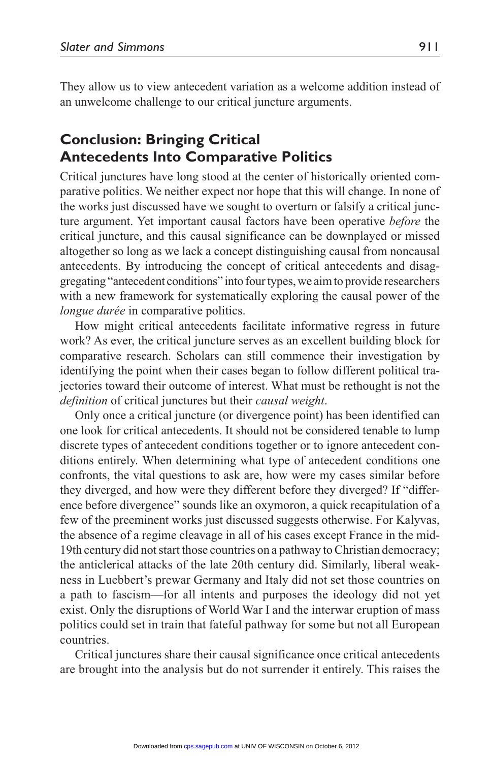They allow us to view antecedent variation as a welcome addition instead of an unwelcome challenge to our critical juncture arguments.

## **Conclusion: Bringing Critical Antecedents Into Comparative Politics**

Critical junctures have long stood at the center of historically oriented comparative politics. We neither expect nor hope that this will change. In none of the works just discussed have we sought to overturn or falsify a critical juncture argument. Yet important causal factors have been operative *before* the critical juncture, and this causal significance can be downplayed or missed altogether so long as we lack a concept distinguishing causal from noncausal antecedents. By introducing the concept of critical antecedents and disaggregating "antecedent conditions" into four types, we aim to provide researchers with a new framework for systematically exploring the causal power of the *longue durée* in comparative politics.

How might critical antecedents facilitate informative regress in future work? As ever, the critical juncture serves as an excellent building block for comparative research. Scholars can still commence their investigation by identifying the point when their cases began to follow different political trajectories toward their outcome of interest. What must be rethought is not the *definition* of critical junctures but their *causal weight*.

Only once a critical juncture (or divergence point) has been identified can one look for critical antecedents. It should not be considered tenable to lump discrete types of antecedent conditions together or to ignore antecedent conditions entirely. When determining what type of antecedent conditions one confronts, the vital questions to ask are, how were my cases similar before they diverged, and how were they different before they diverged? If "difference before divergence" sounds like an oxymoron, a quick recapitulation of a few of the preeminent works just discussed suggests otherwise. For Kalyvas, the absence of a regime cleavage in all of his cases except France in the mid-19th century did not start those countries on a pathway to Christian democracy; the anticlerical attacks of the late 20th century did. Similarly, liberal weakness in Luebbert's prewar Germany and Italy did not set those countries on a path to fascism—for all intents and purposes the ideology did not yet exist. Only the disruptions of World War I and the interwar eruption of mass politics could set in train that fateful pathway for some but not all European countries.

Critical junctures share their causal significance once critical antecedents are brought into the analysis but do not surrender it entirely. This raises the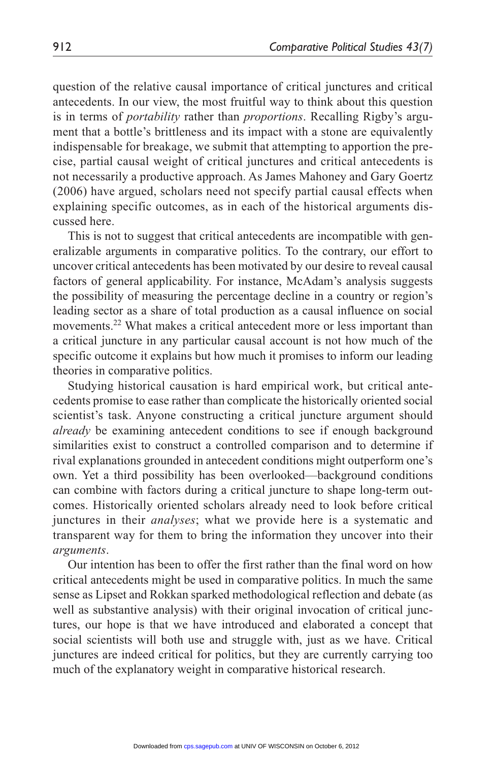question of the relative causal importance of critical junctures and critical antecedents. In our view, the most fruitful way to think about this question is in terms of *portability* rather than *proportions*. Recalling Rigby's argument that a bottle's brittleness and its impact with a stone are equivalently indispensable for breakage, we submit that attempting to apportion the precise, partial causal weight of critical junctures and critical antecedents is not necessarily a productive approach. As James Mahoney and Gary Goertz (2006) have argued, scholars need not specify partial causal effects when explaining specific outcomes, as in each of the historical arguments discussed here.

This is not to suggest that critical antecedents are incompatible with generalizable arguments in comparative politics. To the contrary, our effort to uncover critical antecedents has been motivated by our desire to reveal causal factors of general applicability. For instance, McAdam's analysis suggests the possibility of measuring the percentage decline in a country or region's leading sector as a share of total production as a causal influence on social movements.22 What makes a critical antecedent more or less important than a critical juncture in any particular causal account is not how much of the specific outcome it explains but how much it promises to inform our leading theories in comparative politics.

Studying historical causation is hard empirical work, but critical antecedents promise to ease rather than complicate the historically oriented social scientist's task. Anyone constructing a critical juncture argument should *already* be examining antecedent conditions to see if enough background similarities exist to construct a controlled comparison and to determine if rival explanations grounded in antecedent conditions might outperform one's own. Yet a third possibility has been overlooked—background conditions can combine with factors during a critical juncture to shape long-term outcomes. Historically oriented scholars already need to look before critical junctures in their *analyses*; what we provide here is a systematic and transparent way for them to bring the information they uncover into their *arguments*.

Our intention has been to offer the first rather than the final word on how critical antecedents might be used in comparative politics. In much the same sense as Lipset and Rokkan sparked methodological reflection and debate (as well as substantive analysis) with their original invocation of critical junctures, our hope is that we have introduced and elaborated a concept that social scientists will both use and struggle with, just as we have. Critical junctures are indeed critical for politics, but they are currently carrying too much of the explanatory weight in comparative historical research.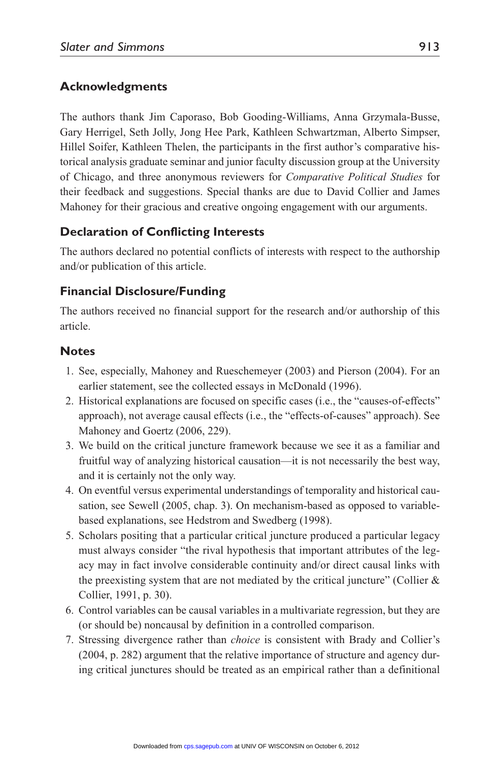#### **Acknowledgments**

The authors thank Jim Caporaso, Bob Gooding-Williams, Anna Grzymala-Busse, Gary Herrigel, Seth Jolly, Jong Hee Park, Kathleen Schwartzman, Alberto Simpser, Hillel Soifer, Kathleen Thelen, the participants in the first author's comparative historical analysis graduate seminar and junior faculty discussion group at the University of Chicago, and three anonymous reviewers for *Comparative Political Studies* for their feedback and suggestions. Special thanks are due to David Collier and James Mahoney for their gracious and creative ongoing engagement with our arguments.

#### **Declaration of Conflicting Interests**

The authors declared no potential conflicts of interests with respect to the authorship and/or publication of this article.

#### **Financial Disclosure/Funding**

The authors received no financial support for the research and/or authorship of this article.

#### **Notes**

- 1. See, especially, Mahoney and Rueschemeyer (2003) and Pierson (2004). For an earlier statement, see the collected essays in McDonald (1996).
- 2. Historical explanations are focused on specific cases (i.e., the "causes-of-effects" approach), not average causal effects (i.e., the "effects-of-causes" approach). See Mahoney and Goertz (2006, 229).
- 3. We build on the critical juncture framework because we see it as a familiar and fruitful way of analyzing historical causation—it is not necessarily the best way, and it is certainly not the only way.
- 4. On eventful versus experimental understandings of temporality and historical causation, see Sewell (2005, chap. 3). On mechanism-based as opposed to variablebased explanations, see Hedstrom and Swedberg (1998).
- 5. Scholars positing that a particular critical juncture produced a particular legacy must always consider "the rival hypothesis that important attributes of the legacy may in fact involve considerable continuity and/or direct causal links with the preexisting system that are not mediated by the critical juncture" (Collier  $\&$ Collier, 1991, p. 30).
- 6. Control variables can be causal variables in a multivariate regression, but they are (or should be) noncausal by definition in a controlled comparison.
- 7. Stressing divergence rather than *choice* is consistent with Brady and Collier's (2004, p. 282) argument that the relative importance of structure and agency during critical junctures should be treated as an empirical rather than a definitional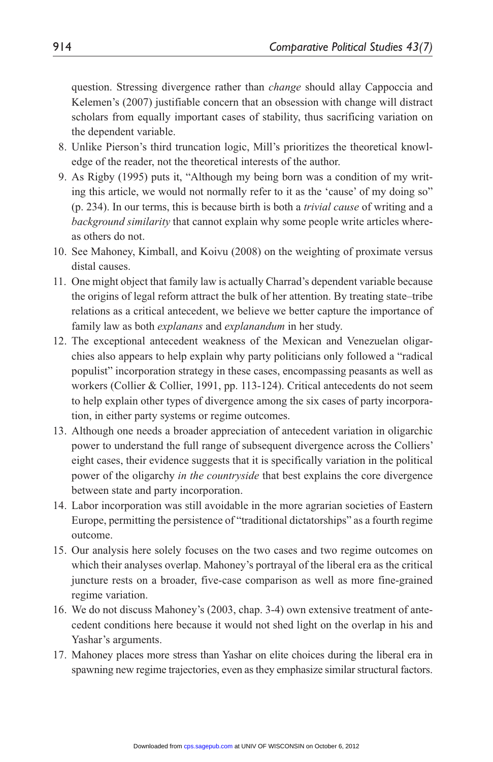question. Stressing divergence rather than *change* should allay Cappoccia and Kelemen's (2007) justifiable concern that an obsession with change will distract scholars from equally important cases of stability, thus sacrificing variation on the dependent variable.

- 8. Unlike Pierson's third truncation logic, Mill's prioritizes the theoretical knowledge of the reader, not the theoretical interests of the author.
- 9. As Rigby (1995) puts it, "Although my being born was a condition of my writing this article, we would not normally refer to it as the 'cause' of my doing so" (p. 234). In our terms, this is because birth is both a *trivial cause* of writing and a *background similarity* that cannot explain why some people write articles whereas others do not.
- 10. See Mahoney, Kimball, and Koivu (2008) on the weighting of proximate versus distal causes.
- 11. One might object that family law is actually Charrad's dependent variable because the origins of legal reform attract the bulk of her attention. By treating state–tribe relations as a critical antecedent, we believe we better capture the importance of family law as both *explanans* and *explanandum* in her study.
- 12. The exceptional antecedent weakness of the Mexican and Venezuelan oligarchies also appears to help explain why party politicians only followed a "radical populist" incorporation strategy in these cases, encompassing peasants as well as workers (Collier & Collier, 1991, pp. 113-124). Critical antecedents do not seem to help explain other types of divergence among the six cases of party incorporation, in either party systems or regime outcomes.
- 13. Although one needs a broader appreciation of antecedent variation in oligarchic power to understand the full range of subsequent divergence across the Colliers' eight cases, their evidence suggests that it is specifically variation in the political power of the oligarchy *in the countryside* that best explains the core divergence between state and party incorporation.
- 14. Labor incorporation was still avoidable in the more agrarian societies of Eastern Europe, permitting the persistence of "traditional dictatorships" as a fourth regime outcome.
- 15. Our analysis here solely focuses on the two cases and two regime outcomes on which their analyses overlap. Mahoney's portrayal of the liberal era as the critical juncture rests on a broader, five-case comparison as well as more fine-grained regime variation.
- 16. We do not discuss Mahoney's (2003, chap. 3-4) own extensive treatment of antecedent conditions here because it would not shed light on the overlap in his and Yashar's arguments.
- 17. Mahoney places more stress than Yashar on elite choices during the liberal era in spawning new regime trajectories, even as they emphasize similar structural factors.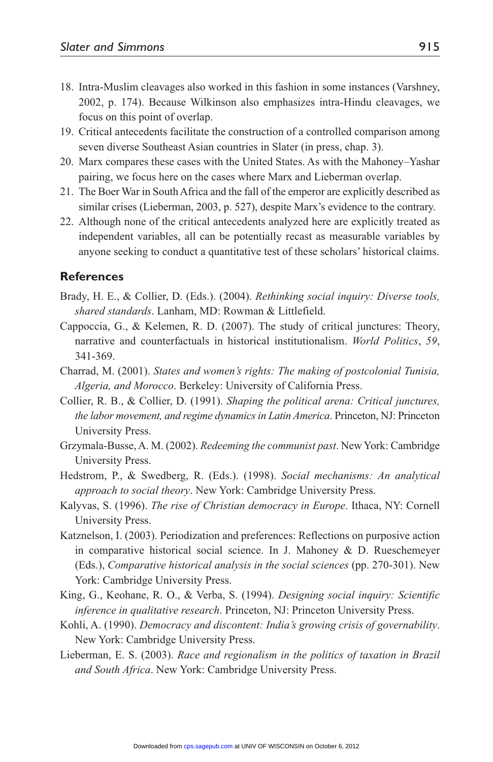- 18. Intra-Muslim cleavages also worked in this fashion in some instances (Varshney, 2002, p. 174). Because Wilkinson also emphasizes intra-Hindu cleavages, we focus on this point of overlap.
- 19. Critical antecedents facilitate the construction of a controlled comparison among seven diverse Southeast Asian countries in Slater (in press, chap. 3).
- 20. Marx compares these cases with the United States. As with the Mahoney–Yashar pairing, we focus here on the cases where Marx and Lieberman overlap.
- 21. The Boer War in South Africa and the fall of the emperor are explicitly described as similar crises (Lieberman, 2003, p. 527), despite Marx's evidence to the contrary.
- 22. Although none of the critical antecedents analyzed here are explicitly treated as independent variables, all can be potentially recast as measurable variables by anyone seeking to conduct a quantitative test of these scholars' historical claims.

#### **References**

- Brady, H. E., & Collier, D. (Eds.). (2004). *Rethinking social inquiry: Diverse tools, shared standards*. Lanham, MD: Rowman & Littlefield.
- Cappoccia, G., & Kelemen, R. D. (2007). The study of critical junctures: Theory, narrative and counterfactuals in historical institutionalism. *World Politics*, *59*, 341-369.
- Charrad, M. (2001). *States and women's rights: The making of postcolonial Tunisia, Algeria, and Morocco*. Berkeley: University of California Press.
- Collier, R. B., & Collier, D. (1991). *Shaping the political arena: Critical junctures, the labor movement, and regime dynamics in Latin America*. Princeton, NJ: Princeton University Press.
- Grzymala-Busse, A. M. (2002). *Redeeming the communist past*. New York: Cambridge University Press.
- Hedstrom, P., & Swedberg, R. (Eds.). (1998). *Social mechanisms: An analytical approach to social theory*. New York: Cambridge University Press.
- Kalyvas, S. (1996). *The rise of Christian democracy in Europe*. Ithaca, NY: Cornell University Press.
- Katznelson, I. (2003). Periodization and preferences: Reflections on purposive action in comparative historical social science. In J. Mahoney & D. Rueschemeyer (Eds.), *Comparative historical analysis in the social sciences* (pp. 270-301). New York: Cambridge University Press.
- King, G., Keohane, R. O., & Verba, S. (1994). *Designing social inquiry: Scientific inference in qualitative research*. Princeton, NJ: Princeton University Press.
- Kohli, A. (1990). *Democracy and discontent: India's growing crisis of governability*. New York: Cambridge University Press.
- Lieberman, E. S. (2003). *Race and regionalism in the politics of taxation in Brazil and South Africa*. New York: Cambridge University Press.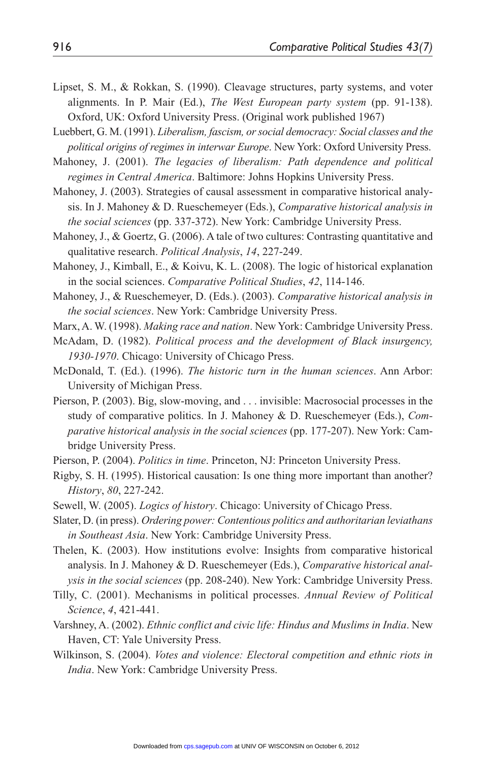- Lipset, S. M., & Rokkan, S. (1990). Cleavage structures, party systems, and voter alignments. In P. Mair (Ed.), *The West European party system* (pp. 91-138). Oxford, UK: Oxford University Press. (Original work published 1967)
- Luebbert, G. M. (1991). *Liberalism, fascism, or social democracy: Social classes and the political origins of regimes in interwar Europe*. New York: Oxford University Press.
- Mahoney, J. (2001). *The legacies of liberalism: Path dependence and political regimes in Central America*. Baltimore: Johns Hopkins University Press.
- Mahoney, J. (2003). Strategies of causal assessment in comparative historical analysis. In J. Mahoney & D. Rueschemeyer (Eds.), *Comparative historical analysis in the social sciences* (pp. 337-372). New York: Cambridge University Press.
- Mahoney, J., & Goertz, G. (2006). A tale of two cultures: Contrasting quantitative and qualitative research. *Political Analysis*, *14*, 227-249.
- Mahoney, J., Kimball, E., & Koivu, K. L. (2008). The logic of historical explanation in the social sciences. *Comparative Political Studies*, *42*, 114-146.
- Mahoney, J., & Rueschemeyer, D. (Eds.). (2003). *Comparative historical analysis in the social sciences*. New York: Cambridge University Press.
- Marx, A. W. (1998). *Making race and nation*. New York: Cambridge University Press.
- McAdam, D. (1982). *Political process and the development of Black insurgency, 1930-1970*. Chicago: University of Chicago Press.
- McDonald, T. (Ed.). (1996). *The historic turn in the human sciences*. Ann Arbor: University of Michigan Press.
- Pierson, P. (2003). Big, slow-moving, and . . . invisible: Macrosocial processes in the study of comparative politics. In J. Mahoney & D. Rueschemeyer (Eds.), *Comparative historical analysis in the social sciences* (pp. 177-207). New York: Cambridge University Press.
- Pierson, P. (2004). *Politics in time*. Princeton, NJ: Princeton University Press.
- Rigby, S. H. (1995). Historical causation: Is one thing more important than another? *History*, *80*, 227-242.
- Sewell, W. (2005). *Logics of history*. Chicago: University of Chicago Press.
- Slater, D. (in press). *Ordering power: Contentious politics and authoritarian leviathans in Southeast Asia*. New York: Cambridge University Press.
- Thelen, K. (2003). How institutions evolve: Insights from comparative historical analysis. In J. Mahoney & D. Rueschemeyer (Eds.), *Comparative historical analysis in the social sciences* (pp. 208-240). New York: Cambridge University Press.
- Tilly, C. (2001). Mechanisms in political processes. *Annual Review of Political Science*, *4*, 421-441.
- Varshney, A. (2002). *Ethnic conflict and civic life: Hindus and Muslims in India*. New Haven, CT: Yale University Press.
- Wilkinson, S. (2004). *Votes and violence: Electoral competition and ethnic riots in India*. New York: Cambridge University Press.